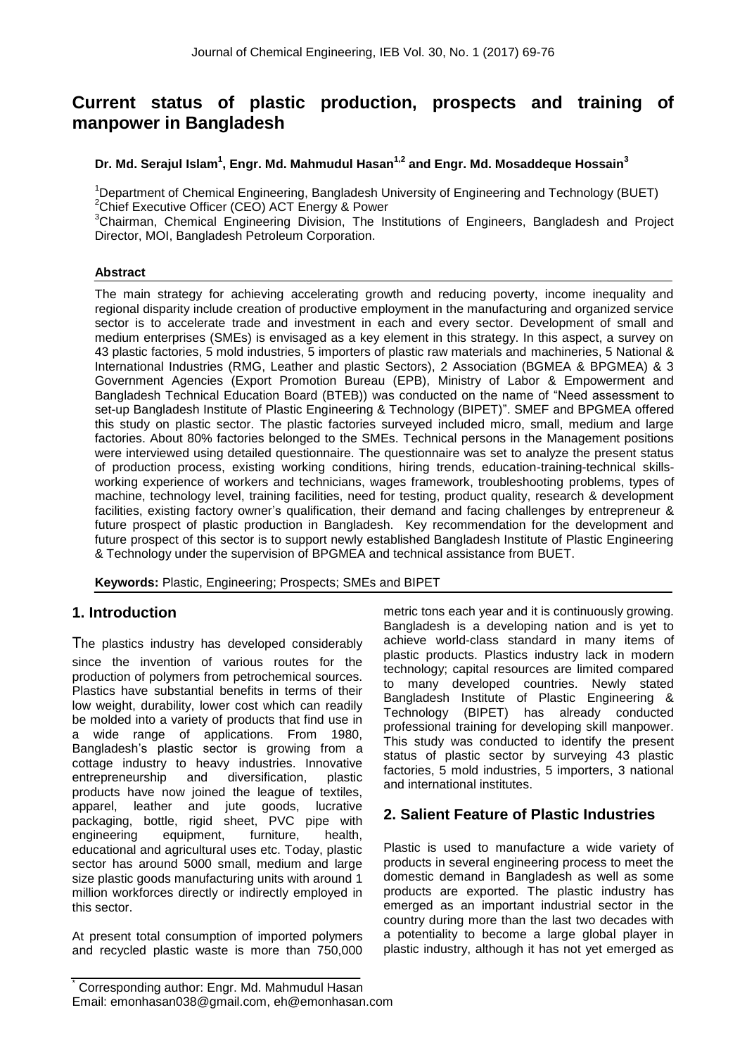# **Current status of plastic production, prospects and training of manpower in Bangladesh**

#### **Dr. Md. Serajul Islam<sup>1</sup> , Engr. Md. Mahmudul Hasan1,2 and Engr. Md. Mosaddeque Hossain<sup>3</sup>**

<sup>1</sup>Department of Chemical Engineering, Bangladesh University of Engineering and Technology (BUET) <sup>2</sup>Chief Executive Officer (CEO) ACT Energy & Power

<sup>3</sup>Chairman, Chemical Engineering Division, The Institutions of Engineers, Bangladesh and Project Director, MOI, Bangladesh Petroleum Corporation.

#### **Abstract**

The main strategy for achieving accelerating growth and reducing poverty, income inequality and regional disparity include creation of productive employment in the manufacturing and organized service sector is to accelerate trade and investment in each and every sector. Development of small and medium enterprises (SMEs) is envisaged as a key element in this strategy. In this aspect, a survey on 43 plastic factories, 5 mold industries, 5 importers of plastic raw materials and machineries, 5 National & International Industries (RMG, Leather and plastic Sectors), 2 Association (BGMEA & BPGMEA) & 3 Government Agencies (Export Promotion Bureau (EPB), Ministry of Labor & Empowerment and Bangladesh Technical Education Board (BTEB)) was conducted on the name of "Need assessment to set-up Bangladesh Institute of Plastic Engineering & Technology (BIPET)". SMEF and BPGMEA offered this study on plastic sector. The plastic factories surveyed included micro, small, medium and large factories. About 80% factories belonged to the SMEs. Technical persons in the Management positions were interviewed using detailed questionnaire. The questionnaire was set to analyze the present status of production process, existing working conditions, hiring trends, education-training-technical skillsworking experience of workers and technicians, wages framework, troubleshooting problems, types of machine, technology level, training facilities, need for testing, product quality, research & development facilities, existing factory owner's qualification, their demand and facing challenges by entrepreneur & future prospect of plastic production in Bangladesh. Key recommendation for the development and future prospect of this sector is to support newly established Bangladesh Institute of Plastic Engineering & Technology under the supervision of BPGMEA and technical assistance from BUET.

**Keywords:** Plastic, Engineering; Prospects; SMEs and BIPET

## **1. Introduction**

The plastics industry has developed considerably since the invention of various routes for the production of polymers from petrochemical sources. Plastics have substantial benefits in terms of their low weight, durability, lower cost which can readily be molded into a variety of products that find use in a wide range of applications. From 1980, Bangladesh"s plastic sector is growing from a cottage industry to heavy industries. Innovative entrepreneurship and diversification, plastic products have now joined the league of textiles, apparel, leather and jute goods, lucrative packaging, bottle, rigid sheet, PVC pipe with engineering equipment, furniture, health, educational and agricultural uses etc. Today, plastic sector has around 5000 small, medium and large size plastic goods manufacturing units with around 1 million workforces directly or indirectly employed in this sector.

At present total consumption of imported polymers and recycled plastic waste is more than 750,000 metric tons each year and it is continuously growing. Bangladesh is a developing nation and is yet to achieve world-class standard in many items of plastic products. Plastics industry lack in modern technology; capital resources are limited compared to many developed countries. Newly stated Bangladesh Institute of Plastic Engineering &<br>Technology (BIPET) has already conducted Technology (BIPET) has professional training for developing skill manpower. This study was conducted to identify the present status of plastic sector by surveying 43 plastic factories, 5 mold industries, 5 importers, 3 national and international institutes.

## **2. Salient Feature of Plastic Industries**

Plastic is used to manufacture a wide variety of products in several engineering process to meet the domestic demand in Bangladesh as well as some products are exported. The plastic industry has emerged as an important industrial sector in the country during more than the last two decades with a potentiality to become a large global player in plastic industry, although it has not yet emerged as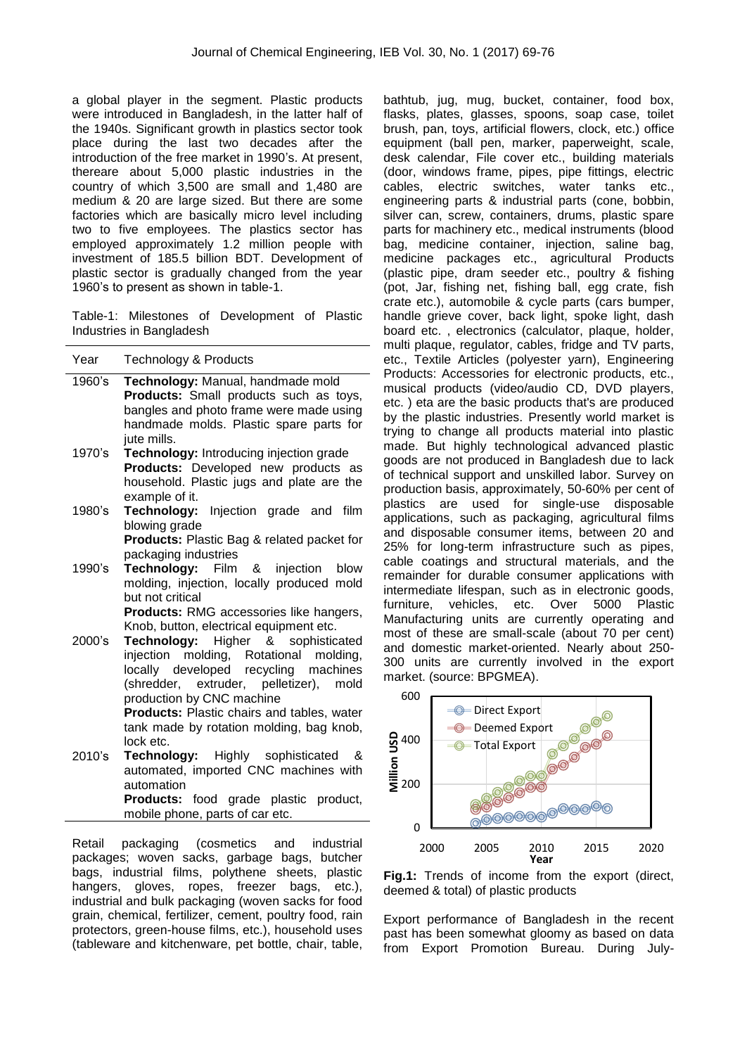a global player in the segment. Plastic products were introduced in Bangladesh, in the latter half of the 1940s. Significant growth in plastics sector took place during the last two decades after the introduction of the free market in 1990"s. At present, thereare about 5,000 plastic industries in the country of which 3,500 are small and 1,480 are medium & 20 are large sized. But there are some factories which are basically micro level including two to five employees. The plastics sector has employed approximately 1.2 million people with investment of 185.5 billion BDT. Development of plastic sector is gradually changed from the year 1960"s to present as shown in table-1.

Table-1: Milestones of Development of Plastic Industries in Bangladesh

| Year | <b>Technology &amp; Products</b> |
|------|----------------------------------|
|------|----------------------------------|

- 1960"s **Technology:** Manual, handmade mold **Products:** Small products such as toys, bangles and photo frame were made using handmade molds. Plastic spare parts for jute mills.
- 1970"s **Technology:** Introducing injection grade **Products:** Developed new products as household. Plastic jugs and plate are the example of it.
- 1980"s **Technology:** Injection grade and film blowing grade **Products:** Plastic Bag & related packet for packaging industries 1990"s **Technology:** Film & injection blow
- molding, injection, locally produced mold but not critical **Products:** RMG accessories like hangers,

Knob, button, electrical equipment etc.

2000"s **Technology:** Higher & sophisticated injection molding, Rotational molding, locally developed recycling machines (shredder, extruder, pelletizer), mold production by CNC machine

**Products:** Plastic chairs and tables, water tank made by rotation molding, bag knob, lock etc.

2010's **Technology:** Highly sophisticated automated, imported CNC machines with automation **Products:** food grade plastic product,

mobile phone, parts of car etc.

Retail packaging (cosmetics and industrial packages; woven sacks, garbage bags, butcher bags, industrial films, polythene sheets, plastic hangers, gloves, ropes, freezer bags, etc.), industrial and bulk packaging (woven sacks for food grain, chemical, fertilizer, cement, poultry food, rain protectors, green-house films, etc.), household uses (tableware and kitchenware, pet bottle, chair, table, bathtub, jug, mug, bucket, container, food box, flasks, plates, glasses, spoons, soap case, toilet brush, pan, toys, artificial flowers, clock, etc.) office equipment (ball pen, marker, paperweight, scale, desk calendar, File cover etc., building materials (door, windows frame, pipes, pipe fittings, electric cables, electric switches, water tanks etc., engineering parts & industrial parts (cone, bobbin, silver can, screw, containers, drums, plastic spare parts for machinery etc., medical instruments (blood bag, medicine container, injection, saline bag, medicine packages etc., agricultural Products (plastic pipe, dram seeder etc., poultry & fishing (pot, Jar, fishing net, fishing ball, egg crate, fish crate etc.), automobile & cycle parts (cars bumper, handle grieve cover, back light, spoke light, dash board etc. , electronics (calculator, plaque, holder, multi plaque, regulator, cables, fridge and TV parts, etc., Textile Articles (polyester yarn), Engineering Products: Accessories for electronic products, etc., musical products (video/audio CD, DVD players, etc. ) eta are the basic products that's are produced by the plastic industries. Presently world market is trying to change all products material into plastic made. But highly technological advanced plastic goods are not produced in Bangladesh due to lack of technical support and unskilled labor. Survey on production basis, approximately, 50-60% per cent of plastics are used for single-use disposable applications, such as packaging, agricultural films and disposable consumer items, between 20 and 25% for long-term infrastructure such as pipes, cable coatings and structural materials, and the remainder for durable consumer applications with intermediate lifespan, such as in electronic goods, furniture, vehicles, etc. Over 5000 Plastic Manufacturing units are currently operating and most of these are small-scale (about 70 per cent) and domestic market-oriented. Nearly about 250- 300 units are currently involved in the export market. (source: BPGMEA).



Fig.1: Trends of income from the export (direct, deemed & total) of plastic products

Export performance of Bangladesh in the recent past has been somewhat gloomy as based on data from Export Promotion Bureau. During July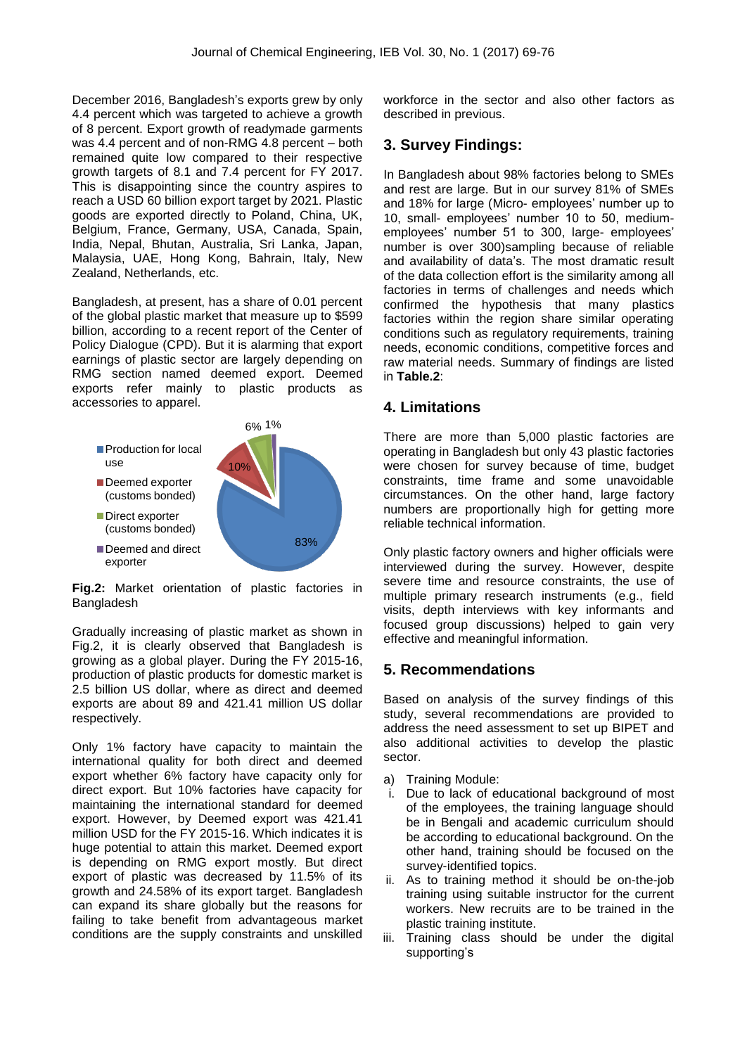December 2016, Bangladesh's exports grew by only 4.4 percent which was targeted to achieve a growth of 8 percent. Export growth of readymade garments was 4.4 percent and of non-RMG 4.8 percent – both remained quite low compared to their respective growth targets of 8.1 and 7.4 percent for FY 2017. This is disappointing since the country aspires to reach a USD 60 billion export target by 2021. Plastic goods are exported directly to Poland, China, UK, Belgium, France, Germany, USA, Canada, Spain, India, Nepal, Bhutan, Australia, Sri Lanka, Japan, Malaysia, UAE, Hong Kong, Bahrain, Italy, New Zealand, Netherlands, etc.

Bangladesh, at present, has a share of 0.01 percent of the global plastic market that measure up to \$599 billion, according to a recent report of the Center of Policy Dialogue (CPD). But it is alarming that export earnings of plastic sector are largely depending on RMG section named deemed export. Deemed exports refer mainly to plastic products as accessories to apparel.



**Fig.2:** Market orientation of plastic factories in Bangladesh

Gradually increasing of plastic market as shown in Fig.2, it is clearly observed that Bangladesh is growing as a global player. During the FY 2015-16, production of plastic products for domestic market is 2.5 billion US dollar, where as direct and deemed exports are about 89 and 421.41 million US dollar respectively.

Only 1% factory have capacity to maintain the international quality for both direct and deemed export whether 6% factory have capacity only for direct export. But 10% factories have capacity for maintaining the international standard for deemed export. However, by Deemed export was 421.41 million USD for the FY 2015-16. Which indicates it is huge potential to attain this market. Deemed export is depending on RMG export mostly. But direct export of plastic was decreased by 11.5% of its growth and 24.58% of its export target. Bangladesh can expand its share globally but the reasons for failing to take benefit from advantageous market conditions are the supply constraints and unskilled workforce in the sector and also other factors as described in previous.

#### **3. Survey Findings:**

In Bangladesh about 98% factories belong to SMEs and rest are large. But in our survey 81% of SMEs and 18% for large (Micro- employees" number up to 10, small- employees" number 10 to 50, mediumemployees' number 51 to 300, large- employees' number is over 300)sampling because of reliable and availability of data"s. The most dramatic result of the data collection effort is the similarity among all factories in terms of challenges and needs which confirmed the hypothesis that many plastics factories within the region share similar operating conditions such as regulatory requirements, training needs, economic conditions, competitive forces and raw material needs. Summary of findings are listed in **Table.2**:

#### **4. Limitations**

There are more than 5,000 plastic factories are operating in Bangladesh but only 43 plastic factories were chosen for survey because of time, budget constraints, time frame and some unavoidable circumstances. On the other hand, large factory numbers are proportionally high for getting more reliable technical information.

Only plastic factory owners and higher officials were interviewed during the survey. However, despite severe time and resource constraints, the use of multiple primary research instruments (e.g., field visits, depth interviews with key informants and focused group discussions) helped to gain very effective and meaningful information.

#### **5. Recommendations**

Based on analysis of the survey findings of this study, several recommendations are provided to address the need assessment to set up BIPET and also additional activities to develop the plastic sector.

- a) Training Module:
- i. Due to lack of educational background of most of the employees, the training language should be in Bengali and academic curriculum should be according to educational background. On the other hand, training should be focused on the survey-identified topics.
- ii. As to training method it should be on-the-job training using suitable instructor for the current workers. New recruits are to be trained in the plastic training institute.
- iii. Training class should be under the digital supporting's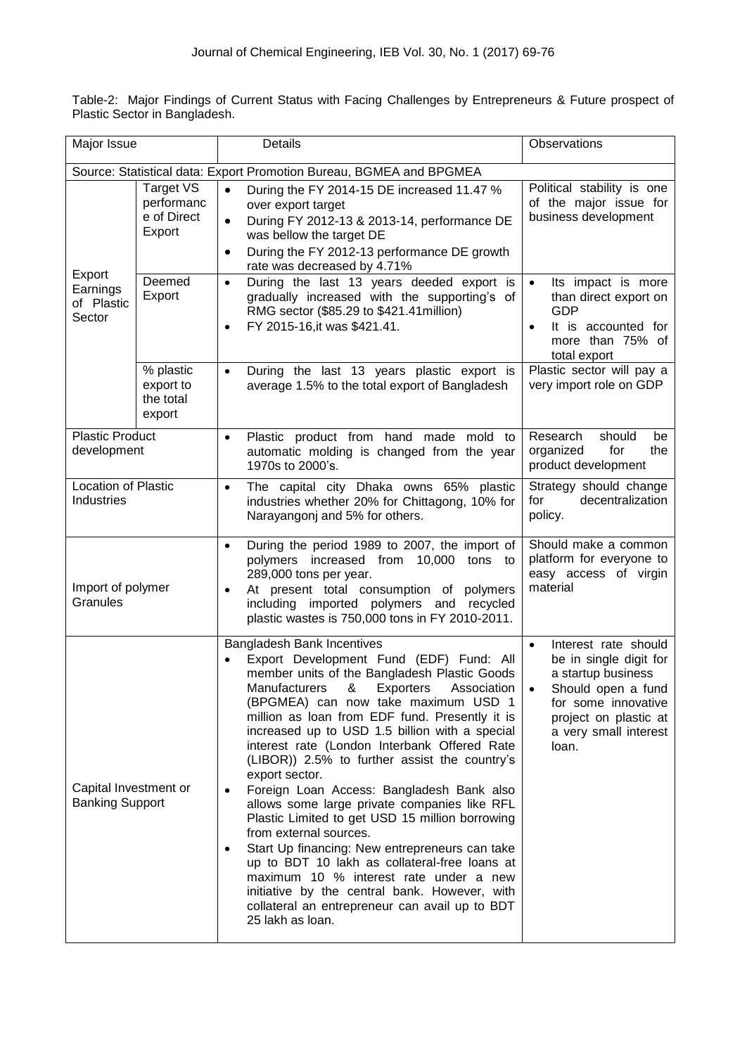Table-2: Major Findings of Current Status with Facing Challenges by Entrepreneurs & Future prospect of Plastic Sector in Bangladesh.

| Major Issue                                                         |                                                                   | Details                                                                                                                                                                                                                                                                                                                                                                                                                                                                                                                                                                                                                                                                                                                                                                                                                                                                                                 | Observations                                                                                                                                                                                           |  |  |  |
|---------------------------------------------------------------------|-------------------------------------------------------------------|---------------------------------------------------------------------------------------------------------------------------------------------------------------------------------------------------------------------------------------------------------------------------------------------------------------------------------------------------------------------------------------------------------------------------------------------------------------------------------------------------------------------------------------------------------------------------------------------------------------------------------------------------------------------------------------------------------------------------------------------------------------------------------------------------------------------------------------------------------------------------------------------------------|--------------------------------------------------------------------------------------------------------------------------------------------------------------------------------------------------------|--|--|--|
| Source: Statistical data: Export Promotion Bureau, BGMEA and BPGMEA |                                                                   |                                                                                                                                                                                                                                                                                                                                                                                                                                                                                                                                                                                                                                                                                                                                                                                                                                                                                                         |                                                                                                                                                                                                        |  |  |  |
| Export<br>Earnings<br>of Plastic<br>Sector                          | <b>Target VS</b><br>performanc<br>e of Direct<br>Export<br>Deemed | During the FY 2014-15 DE increased 11.47 %<br>$\bullet$<br>over export target<br>During FY 2012-13 & 2013-14, performance DE<br>$\bullet$<br>was bellow the target DE<br>During the FY 2012-13 performance DE growth<br>$\bullet$<br>rate was decreased by 4.71%<br>During the last 13 years deeded export is<br>$\bullet$                                                                                                                                                                                                                                                                                                                                                                                                                                                                                                                                                                              | Political stability is one<br>of the major issue for<br>business development<br>Its impact is more<br>$\bullet$                                                                                        |  |  |  |
|                                                                     | Export                                                            | gradually increased with the supporting's of<br>RMG sector (\$85.29 to \$421.41 million)<br>FY 2015-16, it was \$421.41.<br>$\bullet$                                                                                                                                                                                                                                                                                                                                                                                                                                                                                                                                                                                                                                                                                                                                                                   | than direct export on<br><b>GDP</b><br>It is accounted for<br>$\bullet$<br>more than 75% of<br>total export                                                                                            |  |  |  |
|                                                                     | % plastic<br>export to<br>the total<br>export                     | During the last 13 years plastic export is<br>$\bullet$<br>average 1.5% to the total export of Bangladesh                                                                                                                                                                                                                                                                                                                                                                                                                                                                                                                                                                                                                                                                                                                                                                                               | Plastic sector will pay a<br>very import role on GDP                                                                                                                                                   |  |  |  |
| <b>Plastic Product</b><br>development                               |                                                                   | Plastic product from hand made mold to<br>$\bullet$<br>automatic molding is changed from the year<br>1970s to 2000's.                                                                                                                                                                                                                                                                                                                                                                                                                                                                                                                                                                                                                                                                                                                                                                                   | Research<br>should<br>be<br>organized<br>for<br>the<br>product development                                                                                                                             |  |  |  |
| <b>Location of Plastic</b><br>Industries                            |                                                                   | The capital city Dhaka owns 65% plastic<br>$\bullet$<br>industries whether 20% for Chittagong, 10% for<br>Narayangonj and 5% for others.                                                                                                                                                                                                                                                                                                                                                                                                                                                                                                                                                                                                                                                                                                                                                                | Strategy should change<br>decentralization<br>for<br>policy.                                                                                                                                           |  |  |  |
| Import of polymer<br>Granules                                       |                                                                   | During the period 1989 to 2007, the import of<br>polymers increased from 10,000<br>tons to<br>289,000 tons per year.<br>At present total consumption of<br>polymers<br>$\bullet$<br>including imported polymers and recycled<br>plastic wastes is 750,000 tons in FY 2010-2011.                                                                                                                                                                                                                                                                                                                                                                                                                                                                                                                                                                                                                         | Should make a common<br>platform for everyone to<br>easy access of virgin<br>material                                                                                                                  |  |  |  |
| Capital Investment or<br><b>Banking Support</b>                     |                                                                   | Bangladesh Bank Incentives<br>Export Development Fund (EDF) Fund: All<br>member units of the Bangladesh Plastic Goods<br>&<br>Manufacturers<br><b>Exporters</b><br>Association<br>(BPGMEA) can now take maximum USD 1<br>million as loan from EDF fund. Presently it is<br>increased up to USD 1.5 billion with a special<br>interest rate (London Interbank Offered Rate<br>(LIBOR)) 2.5% to further assist the country's<br>export sector.<br>Foreign Loan Access: Bangladesh Bank also<br>$\bullet$<br>allows some large private companies like RFL<br>Plastic Limited to get USD 15 million borrowing<br>from external sources.<br>Start Up financing: New entrepreneurs can take<br>up to BDT 10 lakh as collateral-free loans at<br>maximum 10 % interest rate under a new<br>initiative by the central bank. However, with<br>collateral an entrepreneur can avail up to BDT<br>25 lakh as loan. | Interest rate should<br>$\bullet$<br>be in single digit for<br>a startup business<br>Should open a fund<br>$\bullet$<br>for some innovative<br>project on plastic at<br>a very small interest<br>loan. |  |  |  |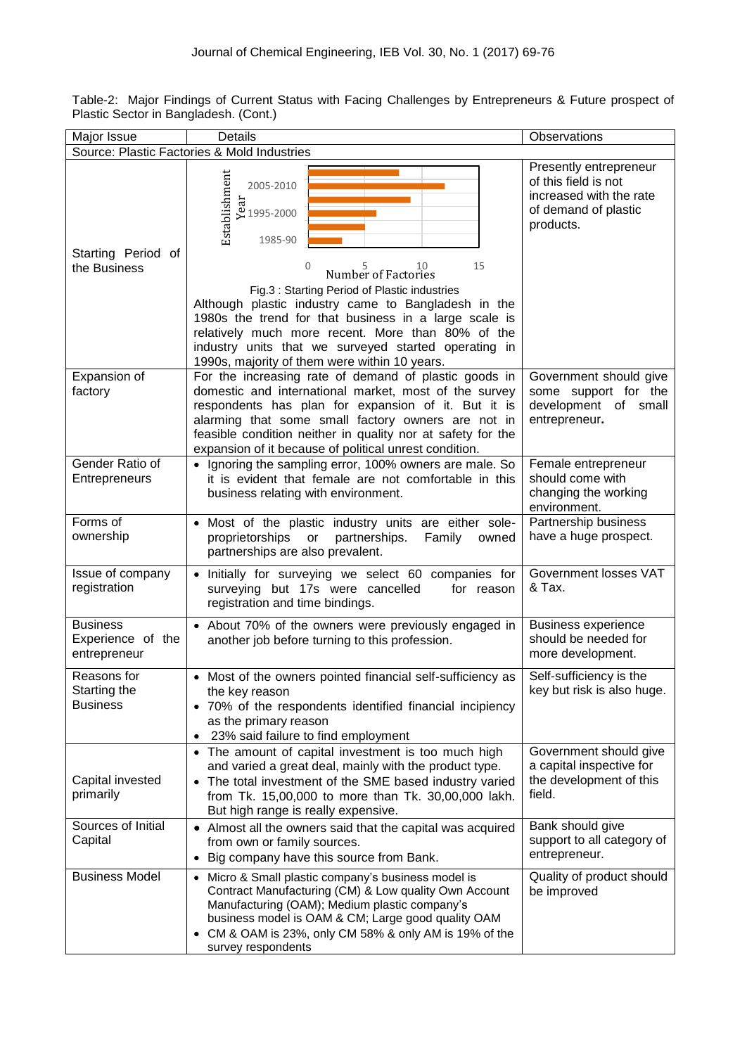Table-2: Major Findings of Current Status with Facing Challenges by Entrepreneurs & Future prospect of Plastic Sector in Bangladesh. (Cont.)

| Major Issue                                          | Details                                                                                                                                                                                                                                                                                                                                                                                                                         | Observations                                                                                                   |  |  |  |
|------------------------------------------------------|---------------------------------------------------------------------------------------------------------------------------------------------------------------------------------------------------------------------------------------------------------------------------------------------------------------------------------------------------------------------------------------------------------------------------------|----------------------------------------------------------------------------------------------------------------|--|--|--|
| Source: Plastic Factories & Mold Industries          |                                                                                                                                                                                                                                                                                                                                                                                                                                 |                                                                                                                |  |  |  |
| Starting Period of<br>the Business                   | Establishment<br>2005-2010<br>뉺<br>义 1995-2000<br>1985-90<br>15<br>10<br>O<br>Number of Factories<br>Fig.3: Starting Period of Plastic industries<br>Although plastic industry came to Bangladesh in the<br>1980s the trend for that business in a large scale is<br>relatively much more recent. More than 80% of the<br>industry units that we surveyed started operating in<br>1990s, majority of them were within 10 years. | Presently entrepreneur<br>of this field is not<br>increased with the rate<br>of demand of plastic<br>products. |  |  |  |
| Expansion of<br>factory                              | For the increasing rate of demand of plastic goods in<br>domestic and international market, most of the survey<br>respondents has plan for expansion of it. But it is<br>alarming that some small factory owners are not in<br>feasible condition neither in quality nor at safety for the<br>expansion of it because of political unrest condition.                                                                            | Government should give<br>some support for the<br>development of small<br>entrepreneur.                        |  |  |  |
| Gender Ratio of<br>Entrepreneurs                     | • Ignoring the sampling error, 100% owners are male. So<br>it is evident that female are not comfortable in this<br>business relating with environment.                                                                                                                                                                                                                                                                         | Female entrepreneur<br>should come with<br>changing the working<br>environment.                                |  |  |  |
| Forms of<br>ownership                                | • Most of the plastic industry units are either sole-<br>partnerships.<br>proprietorships<br>or<br>Family<br>owned<br>partnerships are also prevalent.                                                                                                                                                                                                                                                                          | Partnership business<br>have a huge prospect.                                                                  |  |  |  |
| Issue of company<br>registration                     | Initially for surveying we select 60 companies for<br>$\bullet$<br>surveying but 17s were cancelled<br>for reason<br>registration and time bindings.                                                                                                                                                                                                                                                                            | Government losses VAT<br>& Tax.                                                                                |  |  |  |
| <b>Business</b><br>Experience of the<br>entrepreneur | • About 70% of the owners were previously engaged in<br>another job before turning to this profession.                                                                                                                                                                                                                                                                                                                          | <b>Business experience</b><br>should be needed for<br>more development.                                        |  |  |  |
| Reasons for<br>Starting the<br><b>Business</b>       | • Most of the owners pointed financial self-sufficiency as<br>the key reason<br>• 70% of the respondents identified financial incipiency<br>as the primary reason<br>23% said failure to find employment                                                                                                                                                                                                                        | Self-sufficiency is the<br>key but risk is also huge.                                                          |  |  |  |
| Capital invested<br>primarily                        | • The amount of capital investment is too much high<br>and varied a great deal, mainly with the product type.<br>The total investment of the SME based industry varied<br>$\bullet$<br>from Tk. 15,00,000 to more than Tk. 30,00,000 lakh.<br>But high range is really expensive.                                                                                                                                               | Government should give<br>a capital inspective for<br>the development of this<br>field.                        |  |  |  |
| Sources of Initial<br>Capital                        | • Almost all the owners said that the capital was acquired<br>from own or family sources.<br>• Big company have this source from Bank.                                                                                                                                                                                                                                                                                          | Bank should give<br>support to all category of<br>entrepreneur.                                                |  |  |  |
| <b>Business Model</b>                                | Micro & Small plastic company's business model is<br>$\bullet$<br>Contract Manufacturing (CM) & Low quality Own Account<br>Manufacturing (OAM); Medium plastic company's<br>business model is OAM & CM; Large good quality OAM<br>• CM & OAM is 23%, only CM 58% & only AM is 19% of the<br>survey respondents                                                                                                                  | Quality of product should<br>be improved                                                                       |  |  |  |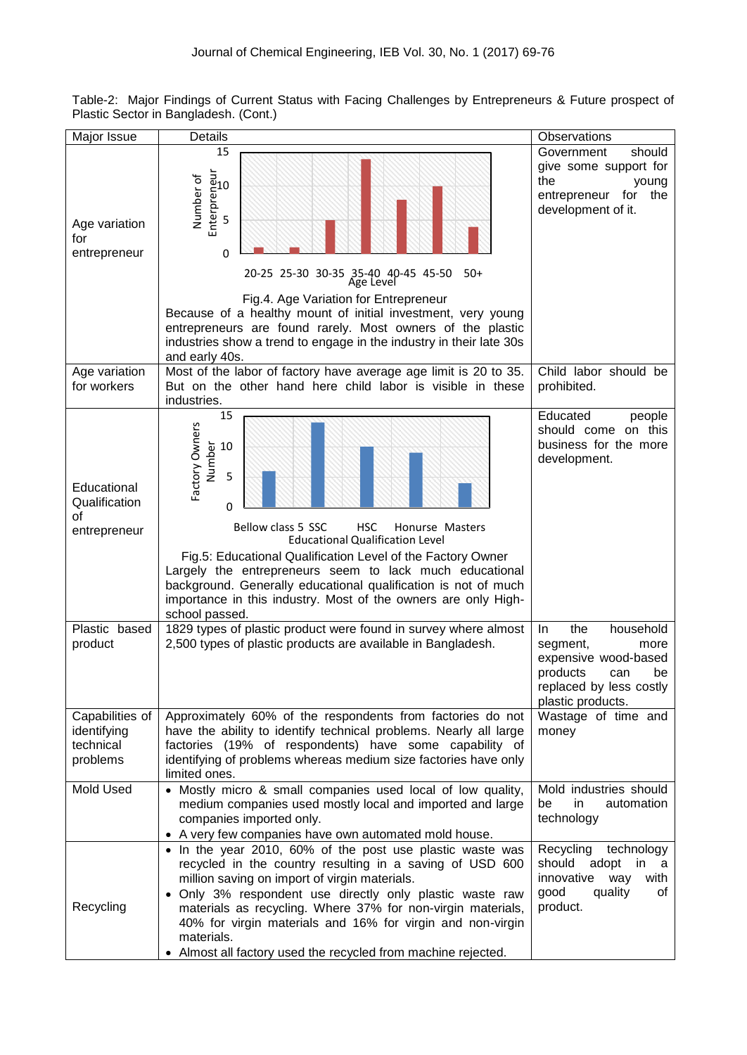Table-2: Major Findings of Current Status with Facing Challenges by Entrepreneurs & Future prospect of Plastic Sector in Bangladesh. (Cont.)

| Major Issue                                             | Details                                                                                                                                                                                                                                                                                                                                                                                                                                    | Observations                                                                                                                                |
|---------------------------------------------------------|--------------------------------------------------------------------------------------------------------------------------------------------------------------------------------------------------------------------------------------------------------------------------------------------------------------------------------------------------------------------------------------------------------------------------------------------|---------------------------------------------------------------------------------------------------------------------------------------------|
| Age variation<br>for<br>entrepreneur                    | 15<br>Enterpreneur<br>und do<br>Number of<br>0<br>20-25 25-30 30-35 35-40 40-45 45-50<br>Age Level<br>$50+$<br>Fig.4. Age Variation for Entrepreneur<br>Because of a healthy mount of initial investment, very young<br>entrepreneurs are found rarely. Most owners of the plastic<br>industries show a trend to engage in the industry in their late 30s<br>and early 40s.                                                                | should<br>Government<br>give some support for<br>the<br>young<br>for the<br>entrepreneur<br>development of it.                              |
| Age variation<br>for workers                            | Most of the labor of factory have average age limit is 20 to 35.<br>But on the other hand here child labor is visible in these<br>industries.                                                                                                                                                                                                                                                                                              | Child labor should be<br>prohibited.                                                                                                        |
| Educational<br>Qualification<br>οf<br>entrepreneur      | 15<br>Factory Owners<br>Number<br>10<br>5<br>0<br>Bellow class 5 SSC<br><b>HSC</b><br>Honurse Masters<br><b>Educational Qualification Level</b><br>Fig.5: Educational Qualification Level of the Factory Owner<br>Largely the entrepreneurs seem to lack much educational<br>background. Generally educational qualification is not of much<br>importance in this industry. Most of the owners are only High-<br>school passed.            | Educated<br>people<br>should come on this<br>business for the more<br>development.                                                          |
| Plastic based<br>product                                | 1829 types of plastic product were found in survey where almost<br>2,500 types of plastic products are available in Bangladesh.                                                                                                                                                                                                                                                                                                            | household<br>In<br>the<br>segment,<br>more<br>expensive wood-based<br>products<br>can<br>be<br>replaced by less costly<br>plastic products. |
| Capabilities of<br>identifying<br>technical<br>problems | Approximately 60% of the respondents from factories do not<br>have the ability to identify technical problems. Nearly all large<br>factories (19% of respondents) have some capability of<br>identifying of problems whereas medium size factories have only<br>limited ones.                                                                                                                                                              | Wastage of time and<br>money                                                                                                                |
| Mold Used                                               | • Mostly micro & small companies used local of low quality,<br>medium companies used mostly local and imported and large<br>companies imported only.<br>A very few companies have own automated mold house.                                                                                                                                                                                                                                | Mold industries should<br>be<br>in<br>automation<br>technology                                                                              |
| Recycling                                               | • In the year 2010, 60% of the post use plastic waste was<br>recycled in the country resulting in a saving of USD 600<br>million saving on import of virgin materials.<br>Only 3% respondent use directly only plastic waste raw<br>materials as recycling. Where 37% for non-virgin materials,<br>40% for virgin materials and 16% for virgin and non-virgin<br>materials.<br>Almost all factory used the recycled from machine rejected. | Recycling<br>technology<br>should<br>adopt in a<br>innovative<br>way<br>with<br>quality<br>good<br>of<br>product.                           |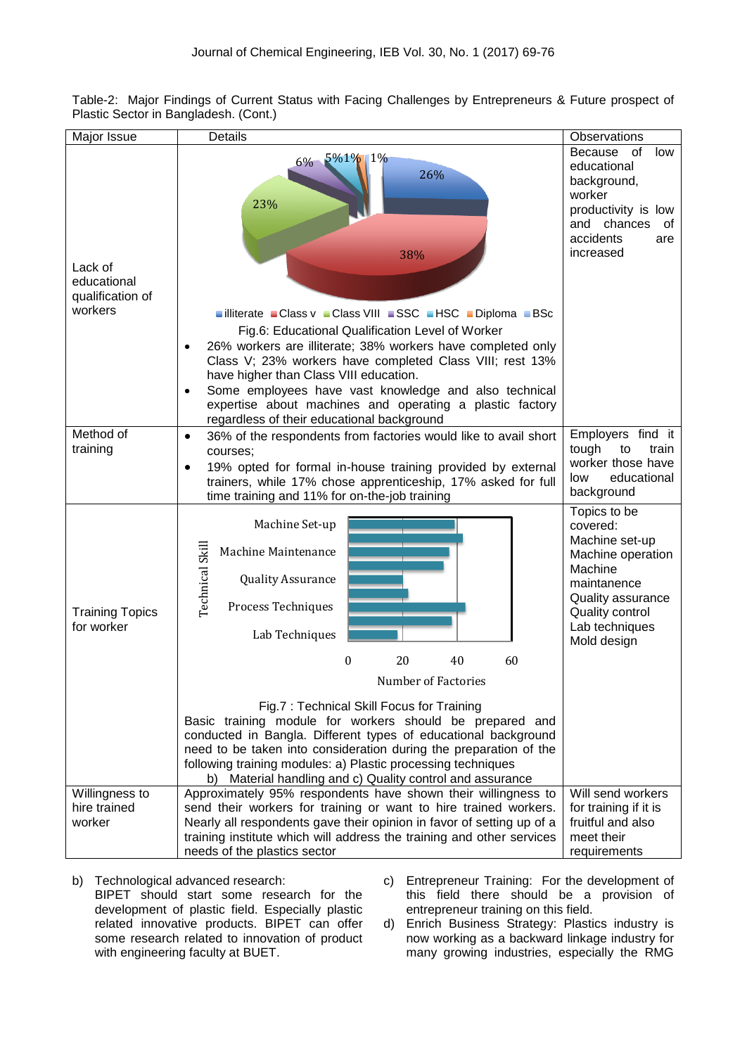| Major Issue                                                                                                                                                                                                                                                                                                                                                               | <b>Details</b>                                                                                                                                                                                                                                                                                                                                                                                        | Observations                                                                                                                                                              |
|---------------------------------------------------------------------------------------------------------------------------------------------------------------------------------------------------------------------------------------------------------------------------------------------------------------------------------------------------------------------------|-------------------------------------------------------------------------------------------------------------------------------------------------------------------------------------------------------------------------------------------------------------------------------------------------------------------------------------------------------------------------------------------------------|---------------------------------------------------------------------------------------------------------------------------------------------------------------------------|
| Lack of<br>educational<br>qualification of                                                                                                                                                                                                                                                                                                                                | $5\%1\%$ 1%<br>6%<br>26%<br>23%<br>38%                                                                                                                                                                                                                                                                                                                                                                | Because<br>of<br>low<br>educational<br>background,<br>worker<br>productivity is low<br>and chances<br>0f<br>accidents<br>are<br>increased                                 |
| workers                                                                                                                                                                                                                                                                                                                                                                   | ■illiterate Class v Class VIII SSC HSC Diploma BSc                                                                                                                                                                                                                                                                                                                                                    |                                                                                                                                                                           |
|                                                                                                                                                                                                                                                                                                                                                                           | Fig.6: Educational Qualification Level of Worker<br>26% workers are illiterate; 38% workers have completed only<br>Class V; 23% workers have completed Class VIII; rest 13%<br>have higher than Class VIII education.<br>Some employees have vast knowledge and also technical<br>$\bullet$<br>expertise about machines and operating a plastic factory<br>regardless of their educational background |                                                                                                                                                                           |
| Method of<br>training                                                                                                                                                                                                                                                                                                                                                     | 36% of the respondents from factories would like to avail short<br>$\bullet$                                                                                                                                                                                                                                                                                                                          | Employers find it<br>tough<br>to<br>train                                                                                                                                 |
|                                                                                                                                                                                                                                                                                                                                                                           | courses;<br>19% opted for formal in-house training provided by external<br>trainers, while 17% chose apprenticeship, 17% asked for full<br>time training and 11% for on-the-job training                                                                                                                                                                                                              | worker those have<br>educational<br>low<br>background                                                                                                                     |
| <b>Training Topics</b><br>for worker                                                                                                                                                                                                                                                                                                                                      | Machine Set-up<br>Technical Skil<br>Machine Maintenance<br><b>Quality Assurance</b><br>Process Techniques<br>Lab Techniques<br>20<br>40<br>60<br>0                                                                                                                                                                                                                                                    | Topics to be<br>covered:<br>Machine set-up<br>Machine operation<br>Machine<br>maintanence<br><b>Quality assurance</b><br>Quality control<br>Lab techniques<br>Mold design |
|                                                                                                                                                                                                                                                                                                                                                                           | Number of Factories                                                                                                                                                                                                                                                                                                                                                                                   |                                                                                                                                                                           |
| Fig.7: Technical Skill Focus for Training<br>Basic training module for workers should be prepared and<br>conducted in Bangla. Different types of educational background<br>need to be taken into consideration during the preparation of the<br>following training modules: a) Plastic processing techniques<br>b) Material handling and c) Quality control and assurance |                                                                                                                                                                                                                                                                                                                                                                                                       |                                                                                                                                                                           |
| Willingness to<br>hire trained<br>worker                                                                                                                                                                                                                                                                                                                                  | Approximately 95% respondents have shown their willingness to<br>send their workers for training or want to hire trained workers.<br>Nearly all respondents gave their opinion in favor of setting up of a<br>training institute which will address the training and other services<br>needs of the plastics sector                                                                                   | Will send workers<br>for training if it is<br>fruitful and also<br>meet their<br>requirements                                                                             |

Table-2: Major Findings of Current Status with Facing Challenges by Entrepreneurs & Future prospect of Plastic Sector in Bangladesh. (Cont.)

b) Technological advanced research:

BIPET should start some research for the development of plastic field. Especially plastic related innovative products. BIPET can offer some research related to innovation of product with engineering faculty at BUET.

- c) Entrepreneur Training: For the development of this field there should be a provision of entrepreneur training on this field.
- d) Enrich Business Strategy: Plastics industry is now working as a backward linkage industry for many growing industries, especially the RMG